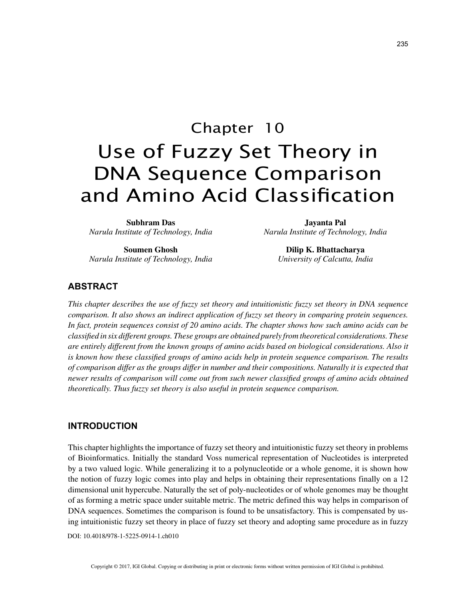# Chapter 10 Use of Fuzzy Set Theory in DNA Sequence Comparison and Amino Acid Classification

**Subhram Das** *Narula Institute of Technology, India*

**Soumen Ghosh** *Narula Institute of Technology, India*

**Jayanta Pal** *Narula Institute of Technology, India*

> **Dilip K. Bhattacharya** *University of Calcutta, India*

## **ABSTRACT**

*This chapter describes the use of fuzzy set theory and intuitionistic fuzzy set theory in DNA sequence comparison. It also shows an indirect application of fuzzy set theory in comparing protein sequences. In fact, protein sequences consist of 20 amino acids. The chapter shows how such amino acids can be classified in six different groups. These groups are obtained purely from theoretical considerations. These are entirely different from the known groups of amino acids based on biological considerations. Also it is known how these classified groups of amino acids help in protein sequence comparison. The results of comparison differ as the groups differ in number and their compositions. Naturally it is expected that newer results of comparison will come out from such newer classified groups of amino acids obtained theoretically. Thus fuzzy set theory is also useful in protein sequence comparison.*

#### **INTRODUCTION**

This chapter highlights the importance of fuzzy set theory and intuitionistic fuzzy set theory in problems of Bioinformatics. Initially the standard Voss numerical representation of Nucleotides is interpreted by a two valued logic. While generalizing it to a polynucleotide or a whole genome, it is shown how the notion of fuzzy logic comes into play and helps in obtaining their representations finally on a 12 dimensional unit hypercube. Naturally the set of poly-nucleotides or of whole genomes may be thought of as forming a metric space under suitable metric. The metric defined this way helps in comparison of DNA sequences. Sometimes the comparison is found to be unsatisfactory. This is compensated by using intuitionistic fuzzy set theory in place of fuzzy set theory and adopting same procedure as in fuzzy

DOI: 10.4018/978-1-5225-0914-1.ch010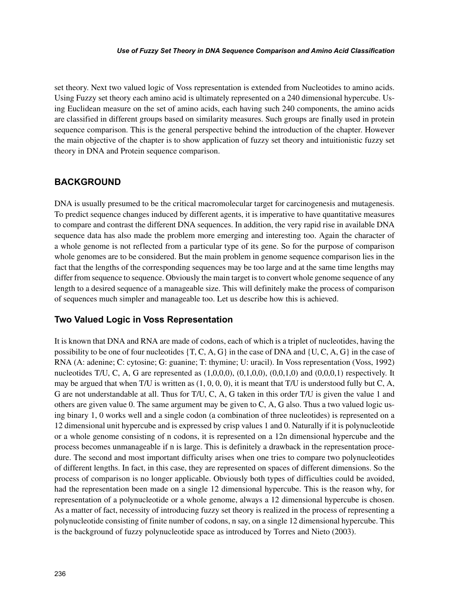#### *Use of Fuzzy Set Theory in DNA Sequence Comparison and Amino Acid Classification*

set theory. Next two valued logic of Voss representation is extended from Nucleotides to amino acids. Using Fuzzy set theory each amino acid is ultimately represented on a 240 dimensional hypercube. Using Euclidean measure on the set of amino acids, each having such 240 components, the amino acids are classified in different groups based on similarity measures. Such groups are finally used in protein sequence comparison. This is the general perspective behind the introduction of the chapter. However the main objective of the chapter is to show application of fuzzy set theory and intuitionistic fuzzy set theory in DNA and Protein sequence comparison.

## **BACKGROUND**

DNA is usually presumed to be the critical macromolecular target for carcinogenesis and mutagenesis. To predict sequence changes induced by different agents, it is imperative to have quantitative measures to compare and contrast the different DNA sequences. In addition, the very rapid rise in available DNA sequence data has also made the problem more emerging and interesting too. Again the character of a whole genome is not reflected from a particular type of its gene. So for the purpose of comparison whole genomes are to be considered. But the main problem in genome sequence comparison lies in the fact that the lengths of the corresponding sequences may be too large and at the same time lengths may differ from sequence to sequence. Obviously the main target is to convert whole genome sequence of any length to a desired sequence of a manageable size. This will definitely make the process of comparison of sequences much simpler and manageable too. Let us describe how this is achieved.

## **Two Valued Logic in Voss Representation**

It is known that DNA and RNA are made of codons, each of which is a triplet of nucleotides, having the possibility to be one of four nucleotides  $\{T, C, A, G\}$  in the case of DNA and  $\{U, C, A, G\}$  in the case of RNA (A: adenine; C: cytosine; G: guanine; T: thymine; U: uracil). In Voss representation (Voss, 1992) nucleotides T/U, C, A, G are represented as  $(1,0,0,0)$ ,  $(0,1,0,0)$ ,  $(0,0,1,0)$  and  $(0,0,0,1)$  respectively. It may be argued that when T/U is written as  $(1, 0, 0, 0)$ , it is meant that T/U is understood fully but C, A, G are not understandable at all. Thus for T/U, C, A, G taken in this order T/U is given the value 1 and others are given value 0. The same argument may be given to C, A, G also. Thus a two valued logic using binary 1, 0 works well and a single codon (a combination of three nucleotides) is represented on a 12 dimensional unit hypercube and is expressed by crisp values 1 and 0. Naturally if it is polynucleotide or a whole genome consisting of n codons, it is represented on a 12n dimensional hypercube and the process becomes unmanageable if n is large. This is definitely a drawback in the representation procedure. The second and most important difficulty arises when one tries to compare two polynucleotides of different lengths. In fact, in this case, they are represented on spaces of different dimensions. So the process of comparison is no longer applicable. Obviously both types of difficulties could be avoided, had the representation been made on a single 12 dimensional hypercube. This is the reason why, for representation of a polynucleotide or a whole genome, always a 12 dimensional hypercube is chosen. As a matter of fact, necessity of introducing fuzzy set theory is realized in the process of representing a polynucleotide consisting of finite number of codons, n say, on a single 12 dimensional hypercube. This is the background of fuzzy polynucleotide space as introduced by Torres and Nieto (2003).